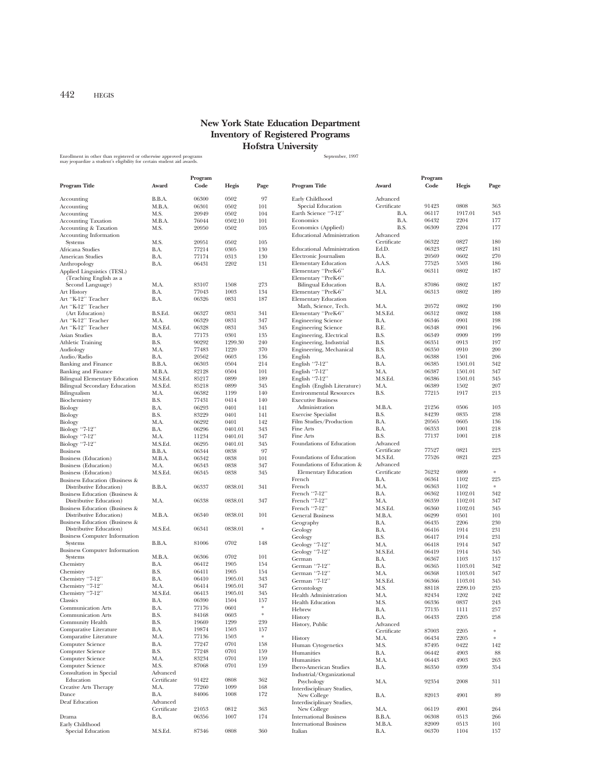## **New York State Education Department Inventory of Registered Programs Hofstra University**

Enrollment in other than registered or otherwise approved programs states and the state of the September, 1997<br>may jeopardize a student's eligibility for certain student aid awards.

|                                           |             | Program |         |           |                                   |             | Program |         |           |
|-------------------------------------------|-------------|---------|---------|-----------|-----------------------------------|-------------|---------|---------|-----------|
| Program Title                             | Award       | Code    | Hegis   | Page      | Program Title                     | Award       | Code    | Hegis   | Page      |
|                                           |             |         |         |           |                                   |             |         |         |           |
| Accounting                                | B.B.A.      | 06300   | 0502    | 97        | Early Childhood                   | Advanced    |         |         |           |
| Accounting                                | M.B.A.      | 06301   | 0502    | 101       | Special Education                 | Certificate | 91423   | 0808    | 363       |
| Accounting                                | M.S.        | 20949   | 0502    | 104       | Earth Science "7-12"              | B.A.        | 06117   | 1917.01 | 343       |
| <b>Accounting Taxation</b>                | M.B.A.      | 76044   | 0502.10 | 101       | Economics                         | B.A.        | 06432   | 2204    | 177       |
| Accounting & Taxation                     | M.S.        | 20950   | 0502    | 105       | Economics (Applied)               | B.S.        | 06309   | 2204    | 177       |
| Accounting Information                    |             |         |         |           | <b>Educational Administration</b> | Advanced    |         |         |           |
| Systems                                   | M.S.        | 20951   | 0502    | 105       |                                   | Certificate | 06322   | 0827    | 180       |
| Africana Studies                          | B.A.        | 77214   | 0305    | 130       | <b>Educational Administration</b> | Ed.D.       | 06323   | 0827    | 181       |
| American Studies                          | B.A.        | 77174   | 0313    | 130       | Electronic Journalism             | B.A.        | 20569   | 0602    | 270       |
| Anthropology                              | B.A.        | 06431   | 2202    | 131       | <b>Elementary Education</b>       | A.A.S.      | 77525   | 5503    | 186       |
| Applied Linguistics (TESL)                |             |         |         |           | Elementary "PreK-6"               | B.A.        | 06311   | 0802    | 187       |
| (Teaching English as a                    |             |         |         |           | Elementary "PreK-6"               |             |         |         |           |
| Second Language)                          | M.A.        | 83107   | 1508    | 273       | <b>Bilingual Education</b>        | B.A.        | 87086   | 0802    | 187       |
| Art History                               | B.A.        | 77043   | 1003    | 134       | Elementary "PreK-6"               | M.A.        | 06313   | 0802    | 189       |
| Art "K-12" Teacher                        | B.A.        | 06326   | 0831    | 187       | <b>Elementary Education</b>       |             |         |         |           |
| Art "K-12" Teacher                        |             |         |         |           | Math, Science, Tech.              | M.A.        | 20572   | 0802    | 190       |
| (Art Education)                           | B.S.Ed.     | 06327   | 0831    | 341       | Elementary "PreK-6"               | M.S.Ed.     | 06312   | 0802    | 188       |
| Art "K-12" Teacher                        | M.A.        | 06329   | 0831    | 347       | <b>Engineering Science</b>        | B.A.        | 06346   | 0901    | 198       |
| Art "K-12" Teacher                        | M.S.Ed.     | 06328   | 0831    | 345       | <b>Engineering Science</b>        | B.E.        | 06348   | 0901    | 196       |
| Asian Studies                             | B.A.        | 77173   | 0301    | 135       | Engineering, Electrical           | B.S.        | 06349   | 0909    | 199       |
| <b>Athletic Training</b>                  | B.S.        | 90292   | 1299.30 | 240       | Engineering, Industrial           | B.S.        | 06351   | 0913    | 197       |
|                                           | M.A.        | 77483   | 1220    | 370       |                                   | B.S.        | 06350   | 0910    | 200       |
| Audiology                                 |             |         | 0603    | 136       | Engineering, Mechanical           |             |         |         | 206       |
| Audio/Radio                               | B.A.        | 20562   |         |           | English                           | B.A.        | 06388   | 1501    |           |
| <b>Banking and Finance</b>                | B.B.A.      | 06303   | 0504    | 214       | English "7-12"                    | B.A.        | 06385   | 1501.01 | 342       |
| <b>Banking and Finance</b>                | M.B.A.      | 82128   | 0504    | 101       | English "7-12"                    | M.A.        | 06387   | 1501.01 | 347       |
| <b>Bilingual Elementary Education</b>     | M.S.Ed.     | 85217   | 0899    | 189       | English "7-12"                    | M.S.Ed.     | 06386   | 1501.01 | 345       |
| <b>Bilingual Secondary Education</b>      | M.S.Ed.     | 85218   | 0899    | 345       | English (English Literature)      | M.A.        | 06389   | 1502    | 207       |
| Bilingualism                              | M.A.        | 06382   | 1199    | 140       | <b>Environmental Resources</b>    | B.S.        | 77215   | 1917    | 213       |
| Biochemistry                              | B.S.        | 77431   | 0414    | 140       | <b>Executive Business</b>         |             |         |         |           |
| Biology                                   | B.A.        | 06293   | 0401    | 141       | Administration                    | M.B.A.      | 21256   | 0506    | 103       |
| Biology                                   | B.S.        | 83229   | 0401    | 141       | <b>Exercise Specialist</b>        | B.S.        | 84239   | 0835    | 238       |
| Biology                                   | M.A.        | 06292   | 0401    | 142       | Film Studies/Production           | B.A.        | 20565   | 0605    | 136       |
| Biology "7-12"                            | B.A.        | 06296   | 0401.01 | 343       | Fine Arts                         | B.A.        | 06353   | 1001    | 218       |
| Biology "7-12"                            | M.A.        | 11234   | 0401.01 | 347       | Fine Arts                         | B.S.        | 77137   | 1001    | 218       |
| Biology "7-12"                            | M.S.Ed.     | 06295   | 0401.01 | 345       | Foundations of Education          | Advanced    |         |         |           |
| <b>Business</b>                           | B.B.A.      | 06344   | 0838    | 97        |                                   | Certificate | 77527   | 0821    | 223       |
| Business (Education)                      | M.B.A.      | 06342   | 0838    | 101       | Foundations of Education          | M.S.Ed.     | 77526   | 0821    | 223       |
| Business (Education)                      | M.A.        | 06343   | 0838    | 347       | Foundations of Education &        | Advanced    |         |         |           |
| Business (Education)                      | M.S.Ed.     | 06345   | 0838    | 345       | <b>Elementary Education</b>       | Certificate | 76232   | 0899    | $\approx$ |
| Business Education (Business &            |             |         |         |           | French                            | B.A.        | 06361   | 1102    | 225       |
| Distributive Education)                   | B.B.A.      | 06337   | 0838.01 | 341       | French                            | M.A.        | 06363   | 1102    | $\approx$ |
| Business Education (Business &            |             |         |         |           | French "7-12"                     | B.A.        | 06362   | 1102.01 | 342       |
| Distributive Education)                   | M.A.        | 06338   | 0838.01 | 347       | French "7-12"                     | M.A.        | 06359   | 1102.01 | 347       |
| Business Education (Business &            |             |         |         |           | French "7-12"                     | M.S.Ed.     | 06360   | 1102.01 | 345       |
| Distributive Education)                   | M.B.A.      | 06340   | 0838.01 | 101       | <b>General Business</b>           | M.B.A.      | 06299   | 0501    | 101       |
| <b>Business Education (Business &amp;</b> |             |         |         |           | Geography                         | B.A.        | 06435   | 2206    | 230       |
| Distributive Education)                   | M.S.Ed.     | 06341   | 0838.01 | $\ast$    | Geology                           | B.A.        | 06416   | 1914    | 231       |
| <b>Business Computer Information</b>      |             |         |         |           | Geology                           | B.S.        | 06417   | 1914    | 231       |
| Systems                                   | B.B.A.      | 81006   | 0702    | 148       | Geology "7-12"                    | M.A.        | 06418   | 1914    | 347       |
| <b>Business Computer Information</b>      |             |         |         |           | Geology "7-12"                    | M.S.Ed.     | 06419   | 1914    | 345       |
| Systems                                   | M.B.A.      | 06306   | 0702    | 101       | German                            | B.A.        | 06367   | 1103    | 157       |
| Chemistry                                 | B.A.        | 06412   | 1905    | 154       | German "7-12"                     | B.A.        | 06365   | 1103.01 | 342       |
| Chemistry                                 | B.S.        | 06411   | 1905    | 154       | German "7-12"                     | M.A.        | 06368   | 1103.01 | 347       |
| Chemistry "7-12"                          | B.A.        | 06410   | 1905.01 | 343       | German "7-12"                     |             |         | 1103.01 | 345       |
| Chemistry "7-12"                          | M.A.        | 06414   | 1905.01 | 347       |                                   | M.S.Ed.     | 06366   | 2299.10 | 235       |
| Chemistry "7-12"                          | M.S.Ed.     | 06413   | 1905.01 | 345       | Gerontology                       | M.S.        | 88118   |         |           |
| Classics                                  | B.A.        | 06390   | 1504    | 157       | <b>Health Administration</b>      | M.A.        | 82434   | 1202    | 242       |
| <b>Communication Arts</b>                 | B.A.        | 77176   | 0601    | *         | <b>Health Education</b>           | M.S.        | 06336   | 0837    | 243       |
| <b>Communication Arts</b>                 | B.S.        | 84168   | 0603    | $\approx$ | Hebrew                            | B.A.        | 77135   | 1111    | 257       |
| Community Health                          | B.S.        | 19669   | 1299    | 239       | History                           | B.A.        | 06433   | 2205    | $258\,$   |
| Comparative Literature                    | B.A.        | 19874   | 1503    | 157       | History, Public                   | Advanced    |         |         |           |
| Comparative Literature                    | M.A.        | 77136   | 1503    | $\approx$ |                                   | Certificate | 87003   | 2205    | $\approx$ |
| <b>Computer Science</b>                   | B.A.        |         | 0701    |           | History                           | M.A.        | 06434   | 2205    | $\ast$    |
|                                           |             | 77247   |         | 158       | Human Cytogenetics                | M.S.        | 87495   | 0422    | 142       |
| Computer Science                          | B.S.        | 77248   | 0701    | 159       | Humanities                        | B.A.        | 06442   | 4903    | 88        |
| Computer Science                          | M.A.        | 83234   | 0701    | 159       | Humanities                        | M.A.        | 06443   | 4903    | 263       |
| Computer Science                          | M.S.        | 87068   | 0701    | 159       | Ibero-American Studies            | B.A.        | 86350   | 0399    | 354       |
| Consultation in Special                   | Advanced    |         |         |           | Industrial/Organizational         |             |         |         |           |
| Education                                 | Certificate | 91422   | 0808    | 362       | Psychology                        | M.A.        | 92354   | 2008    | 311       |
| <b>Creative Arts Therapy</b>              | M.A.        | 77260   | 1099    | 168       | Interdisciplinary Studies,        |             |         |         |           |
| Dance                                     | B.A.        | 84006   | 1008    | 172       | New College                       | B.A.        | 82013   | 4901    | 89        |
| Deaf Education                            | Advanced    |         |         |           | Interdisciplinary Studies,        |             |         |         |           |
|                                           | Certificate | 21053   | 0812    | 363       | New College                       | M.A.        | 06119   | 4901    | 264       |
| Drama                                     | B.A.        | 06356   | 1007    | 174       | <b>International Business</b>     | B.B.A.      | 06308   | 0513    | 266       |
| Early Childhood                           |             |         |         |           | <b>International Business</b>     | M.B.A.      | 82009   | 0513    | 101       |
| Special Education                         | M.S.Ed.     | 87346   | 0808    | 360       | Italian                           | B.A.        | 06370   | 1104    | 157       |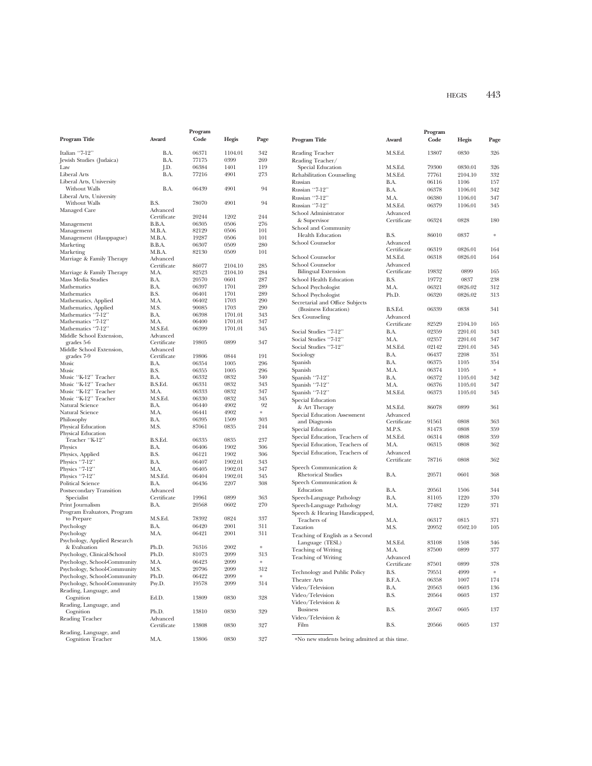| Program                                                      |                     |                |                    | Program    |                                                         |                         |       |         |               |
|--------------------------------------------------------------|---------------------|----------------|--------------------|------------|---------------------------------------------------------|-------------------------|-------|---------|---------------|
| Program Title                                                | Award               | Code           | Hegis              | Page       | Program Title                                           | Award                   | Code  | Hegis   | Page          |
| Italian "7-12"                                               | B.A.                | 06371          | 1104.01            | 342        | Reading Teacher                                         | M.S.Ed.                 | 13807 | 0830    | 326           |
| Jewish Studies (Judaica)                                     | B.A.                | 77175          | 0399               | 269        | Reading Teacher/                                        |                         |       |         |               |
| Law                                                          | J.D.                | 06384          | 1401               | 119        | Special Education                                       | M.S.Ed.                 | 79300 | 0830.01 | 326           |
| Liberal Arts                                                 | B.A.                | 77216          | 4901               | 273        | Rehabilitation Counseling                               | M.S.Ed.                 | 77761 | 2104.10 | 332           |
| Liberal Arts, University                                     |                     |                |                    |            | Russian                                                 | B.A.                    | 06116 | 1106    | 157           |
| Without Walls                                                | B.A.                | 06439          | 4901               | 94         | Russian "7-12"                                          | B.A.                    | 06378 | 1106.01 | 342           |
| Liberal Arts, University<br>Without Walls                    | B.S.                | 78070          | 4901               | 94         | Russian "7-12"                                          | M.A.                    | 06380 | 1106.01 | 347           |
| Managed Care                                                 | Advanced            |                |                    |            | Russian "7-12"                                          | M.S.Ed.                 | 06379 | 1106.01 | 345           |
|                                                              | Certificate         | 20244          | 1202               | 244        | School Administrator                                    | Advanced                |       |         |               |
| Management                                                   | B.B.A.              | 06305          | 0506               | 276        | & Supervisor                                            | Certificate             | 06324 | 0828    | 180           |
| Management                                                   | M.B.A.              | 82129          | 0506               | 101        | School and Community                                    |                         |       |         |               |
| Management (Hauppague)                                       | M.B.A.              | 19287          | 0506               | 101        | <b>Health Education</b>                                 | B.S.                    | 86010 | 0837    | $\frac{1}{2}$ |
| Marketing                                                    | B.B.A.              | 06307          | 0509               | 280        | School Counselor                                        | Advanced<br>Certificate | 06319 | 0826.01 | 164           |
| Marketing                                                    | M.B.A.              | 82130          | 0509               | 101        | School Counselor                                        |                         | 06318 |         | 164           |
| Marriage & Family Therapy                                    | Advanced            |                |                    |            | School Counselor                                        | M.S.Ed.                 |       | 0826.01 |               |
|                                                              | Certificate<br>M.A. | 86077<br>82523 | 2104.10<br>2104.10 | 285<br>284 | <b>Bilingual Extension</b>                              | Advanced<br>Certificate | 19832 | 0899    | 165           |
| Marriage & Family Therapy<br>Mass Media Studies              | B.A.                | 20570          | 0601               | 287        | School Health Education                                 | B.S.                    | 19772 | 0837    | 238           |
| Mathematics                                                  | B.A.                | 06397          | 1701               | 289        | School Psychologist                                     | M.A.                    | 06321 | 0826.02 | 312           |
| Mathematics                                                  | B.S.                | 06401          | 1701               | 289        | School Psychologist                                     | Ph.D.                   | 06320 | 0826.02 | 313           |
| Mathematics, Applied                                         | M.A.                | 06402          | 1703               | 290        |                                                         |                         |       |         |               |
| Mathematics, Applied                                         | M.S.                | 90085          | 1703               | 290        | Secretarial and Office Subjects<br>(Business Education) | B.S.Ed.                 | 06339 | 0838    | 341           |
| Mathematics "7-12"                                           | B.A.                | 06398          | 1701.01            | 343        | Sex Counseling                                          | Advanced                |       |         |               |
| Mathematics "7-12"                                           | M.A.                | 06400          | 1701.01            | 347        |                                                         | Certificate             | 82529 | 2104.10 | 165           |
| Mathematics "7-12"                                           | M.S.Ed.             | 06399          | 1701.01            | 345        | Social Studies "7-12"                                   | B.A.                    | 02359 | 2201.01 | 343           |
| Middle School Extension,                                     | Advanced            |                |                    |            | Social Studies "7-12"                                   | M.A.                    | 02357 | 2201.01 | 347           |
| grades 5-6                                                   | Certificate         | 19805          | 0899               | 347        | Social Studies "7-12"                                   | M.S.Ed.                 | 02142 | 2201.01 | 345           |
| Middle School Extension,                                     | Advanced            |                | 0844               |            | Sociology                                               | B.A.                    | 06437 | 2208    | 351           |
| grades 7-9<br>Music                                          | Certificate<br>B.A. | 19806<br>06354 | 1005               | 191<br>296 | Spanish                                                 | B.A.                    | 06375 | 1105    | 354           |
| Music                                                        | B.S.                | 06355          | 1005               | 296        | Spanish                                                 | M.A.                    | 06374 | 1105    | $\approx$     |
| Music "K-12" Teacher                                         | B.A.                | 06332          | 0832               | 340        | Spanish "7-12"                                          | B.A.                    | 06372 | 1105.01 | 342           |
| Music "K-12" Teacher                                         | B.S.Ed.             | 06331          | 0832               | 343        | Spanish "7-12"                                          | M.A.                    | 06376 | 1105.01 | 347           |
| Music "K-12" Teacher                                         | M.A.                | 06333          | 0832               | 347        | Spanish "7-12"                                          | M.S.Ed.                 | 06373 | 1105.01 | 345           |
| Music "K-12" Teacher                                         | M.S.Ed.             | 06330          | 0832               | 345        | Special Education                                       |                         |       |         |               |
| Natural Science                                              | B.A.                | 06440          | 4902               | 92         | & Art Therapy                                           | M.S.Ed.                 | 86078 | 0899    | 361           |
| Natural Science                                              | M.A.                | 06441          | 4902               | $\approx$  | Special Education Assessment                            | Advanced                |       |         |               |
| Philosophy                                                   | B.A.                | 06395          | 1509               | 303        | and Diagnosis                                           | Certificate             | 91561 | 0808    | 363           |
| Physical Education                                           | M.S.                | 87061          | 0835               | 244        | Special Education                                       | M.P.S.                  | 81473 | 0808    | 359           |
| Physical Education<br>Teacher "K-12"                         | B.S.Ed.             | 06335          | 0835               | 237        | Special Education, Teachers of                          | M.S.Ed.                 | 06314 | 0808    | 359           |
| Physics                                                      | B.A.                | 06406          | 1902               | 306        | Special Education, Teachers of                          | M.A.                    | 06315 | 0808    | 362           |
| Physics, Applied                                             | B.S.                | 06121          | 1902               | 306        | Special Education, Teachers of                          | Advanced                |       |         |               |
| Physics "7-12"                                               | B.A.                | 06407          | 1902.01            | 343        |                                                         | Certificate             | 78716 | 0808    | 362           |
| Physics "7-12"                                               | M.A.                | 06405          | 1902.01            | 347        | Speech Communication &                                  |                         |       |         |               |
| Physics "7-12"                                               | M.S.Ed.             | 06404          | 1902.01            | 345        | <b>Rhetorical Studies</b>                               | B.A.                    | 20571 | 0601    | 368           |
| <b>Political Science</b>                                     | B.A.                | 06436          | 2207               | 308        | Speech Communication &                                  |                         |       |         |               |
| Postsecondary Transition                                     | Advanced            |                |                    |            | Education                                               | B.A.                    | 20561 | 1506    | 344           |
| Specialist                                                   | Certificate         | 19961          | 0899               | 363        | Speech-Language Pathology                               | B.A.                    | 81105 | 1220    | 370           |
| Print Journalism                                             | B.A.                | 20568          | 0602               | 270        | Speech-Language Pathology                               | M.A.                    | 77482 | 1220    | 371           |
| Program Evaluators, Program                                  |                     |                |                    |            | Speech & Hearing Handicapped,                           |                         |       |         |               |
| to Prepare                                                   | M.S.Ed.             | 78392          | 0824               | 337        | Teachers of                                             | M.A.                    | 06317 | 0815    | 371           |
| Psychology                                                   | B.A.                | 06420          | 2001               | 311        | Taxation                                                | M.S.                    | 20952 | 0502.10 | 105           |
| Psychology                                                   | M.A.                | 06421          | 2001               | 311        | Teaching of English as a Second                         |                         |       |         |               |
| Psychology, Applied Research                                 |                     |                |                    |            | Language (TESL)                                         | M.S.Ed.                 | 83108 | 1508    | 346           |
| & Evaluation                                                 | Ph.D.               | 76316          | 2002               | $\approx$  | <b>Teaching of Writing</b>                              | M.A.                    | 87500 | 0899    | 377           |
| Psychology, Clinical-School                                  | Ph.D.               | 81073          | 2099               | 313        | <b>Teaching of Writing</b>                              | Advanced                |       |         |               |
| Psychology, School-Community<br>Psychology, School-Community | M.A.                | 06423<br>20796 | 2099<br>2099       |            |                                                         | Certificate             | 87501 | 0899    | 378           |
| Psychology, School-Community                                 | M.S.<br>Ph.D.       | 06422          | 2099               | 312<br>*   | Technology and Public Policy                            | B.S.                    | 79551 | 4999    | $\approx$     |
| Psychology, School-Community                                 | Psy.D.              | 19578          | 2099               | 314        | <b>Theater Arts</b>                                     | B.F.A.                  | 06358 | 1007    | 174           |
| Reading, Language, and                                       |                     |                |                    |            | Video/Television                                        | B.A.                    | 20563 | 0603    | 136           |
| Cognition                                                    | Ed.D.               | 13809          | 0830               | 328        | Video/Television                                        | B.S.                    | 20564 | 0603    | 137           |
| Reading, Language, and                                       |                     |                |                    |            | Video/Television &                                      |                         |       |         |               |
| Cognition                                                    | Ph.D.               | 13810          | 0830               | 329        | <b>Business</b>                                         | B.S.                    | 20567 | 0605    | 137           |
| Reading Teacher                                              | Advanced            |                |                    |            | Video/Television &                                      |                         |       |         |               |
|                                                              | Certificate         | 13808          | 0830               | 327        | Film                                                    | B.S.                    | 20566 | 0605    | 137           |
| Reading, Language, and                                       |                     |                |                    |            |                                                         |                         |       |         |               |
| Cognition Teacher                                            | M.A.                | 13806          | 0830               | 327        | *No new students being admitted at this time.           |                         |       |         |               |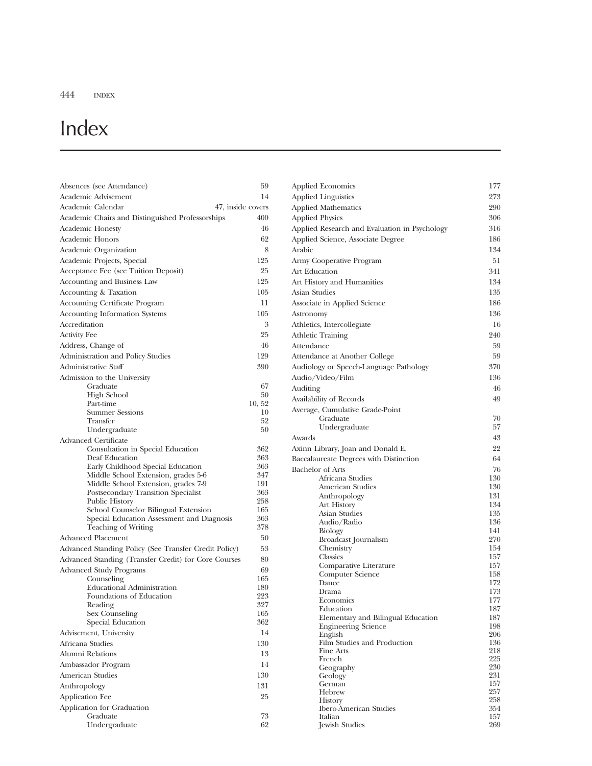# Index

| Absences (see Attendance)                                                | 59               | <b>Applied Economics</b>                        | 177        |
|--------------------------------------------------------------------------|------------------|-------------------------------------------------|------------|
| Academic Advisement                                                      | 14               | <b>Applied Linguistics</b>                      | 273        |
| Academic Calendar<br>47, inside covers                                   |                  | <b>Applied Mathematics</b>                      | 290        |
| Academic Chairs and Distinguished Professorships                         | 400              | <b>Applied Physics</b>                          | 306        |
| <b>Academic Honesty</b>                                                  | 46               | Applied Research and Evaluation in Psychology   | 316        |
| Academic Honors                                                          | 62               | Applied Science, Associate Degree               | 186        |
| Academic Organization                                                    | 8                | Arabic                                          | 134        |
| Academic Projects, Special                                               | 125              | Army Cooperative Program                        | 51         |
| Acceptance Fee (see Tuition Deposit)                                     | 25               | Art Education                                   | 341        |
| Accounting and Business Law                                              | 125              | Art History and Humanities                      | 134        |
| Accounting & Taxation                                                    | 105              | <b>Asian Studies</b>                            | 135        |
| <b>Accounting Certificate Program</b>                                    | 11               | Associate in Applied Science                    | 186        |
|                                                                          | 105              |                                                 | 136        |
| <b>Accounting Information Systems</b><br>Accreditation                   | $\boldsymbol{3}$ | Astronomy                                       |            |
|                                                                          |                  | Athletics, Intercollegiate                      | 16         |
| <b>Activity Fee</b>                                                      | 25               | Athletic Training                               | 240        |
| Address, Change of                                                       | 46               | Attendance                                      | 59         |
| Administration and Policy Studies                                        | 129              | Attendance at Another College                   | 59         |
| Administrative Staff                                                     | 390              | Audiology or Speech-Language Pathology          | 370        |
| Admission to the University                                              |                  | Audio/Video/Film                                | 136        |
| Graduate<br>High School                                                  | 67<br>50         | Auditing                                        | 46         |
| Part-time                                                                | 10, 52           | Availability of Records                         | 49         |
| <b>Summer Sessions</b>                                                   | 10               | Average, Cumulative Grade-Point                 |            |
| Transfer                                                                 | 52               | Graduate                                        | 70         |
| Undergraduate                                                            | 50               | Undergraduate                                   | 57         |
| Advanced Certificate                                                     |                  | Awards                                          | 43         |
| Consultation in Special Education                                        | 362              | Axinn Library, Joan and Donald E.               | 22         |
| Deaf Education                                                           | 363<br>363       | Baccalaureate Degrees with Distinction          | 64         |
| Early Childhood Special Education<br>Middle School Extension, grades 5-6 | 347              | <b>Bachelor</b> of Arts                         | 76         |
| Middle School Extension, grades 7-9                                      | 191              | Africana Studies                                | 130<br>130 |
| Postsecondary Transition Specialist                                      | 363              | American Studies<br>Anthropology                | 131        |
| Public History                                                           | 258              | Art History                                     | 134        |
| School Counselor Bilingual Extension                                     | 165              | Asian Studies                                   | 135        |
| Special Education Assessment and Diagnosis<br>Teaching of Writing        | 363<br>378       | Audio/Radio                                     | 136        |
| <b>Advanced Placement</b>                                                | 50               | Biology                                         | 141        |
|                                                                          |                  | Broadcast Journalism<br>Chemistry               | 270<br>154 |
| Advanced Standing Policy (See Transfer Credit Policy)                    | 53               | Classics                                        | 157        |
| Advanced Standing (Transfer Credit) for Core Courses                     | 80               | Comparative Literature                          | 157        |
| <b>Advanced Study Programs</b>                                           | 69<br>165        | Computer Science                                | 158        |
| Counseling<br><b>Educational Administration</b>                          | 180              | Dance                                           | 172        |
| Foundations of Education                                                 | 223              | Drama                                           | 173        |
| Reading                                                                  | 327              | Economics                                       | 177<br>187 |
| Sex Counseling                                                           | 165              | Education<br>Elementary and Bilingual Education | 187        |
| Special Education                                                        | 362              | <b>Engineering Science</b>                      | 198        |
| Advisement, University                                                   | 14               | English                                         | 206        |
| Africana Studies                                                         | 130              | Film Studies and Production                     | 136        |
| Alumni Relations                                                         | 13               | Fine Arts<br>French                             | 218<br>225 |
| Ambassador Program                                                       | 14               | Geography                                       | 230        |
| American Studies                                                         | 130              | Geology                                         | 231        |
| Anthropology                                                             | 131              | German                                          | 157        |
| Application Fee                                                          | 25               | Hebrew<br><b>History</b>                        | 257<br>258 |
| Application for Graduation                                               |                  | <b>Ibero-American Studies</b>                   | 354        |
| Graduate                                                                 | 73               | Italian                                         | 157        |
| Undergraduate                                                            | 62               | Jewish Studies                                  | 269        |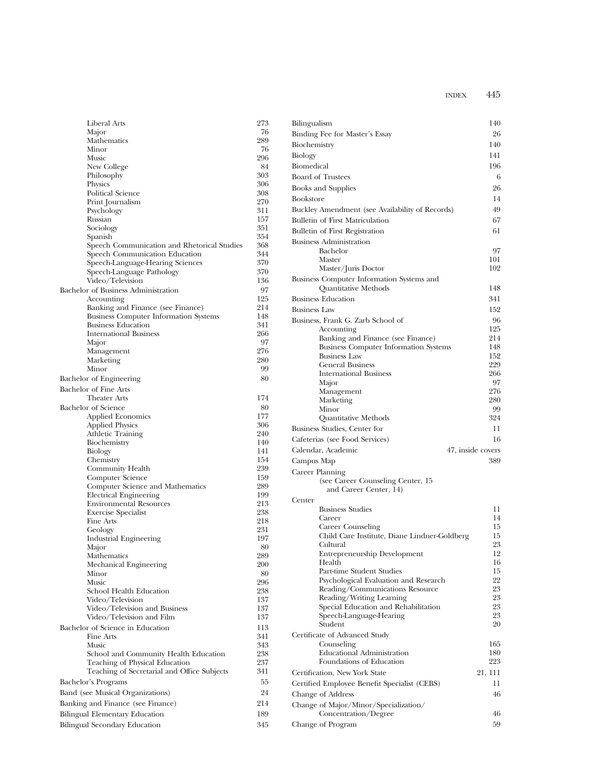| Liberal Arts                                           | 273        |
|--------------------------------------------------------|------------|
| Major                                                  | 76         |
| Mathematics                                            | 289        |
| Minor                                                  | 76         |
| Music                                                  | 296        |
| New College                                            | 84         |
| Philosophy                                             | 303        |
| Physics                                                | 306        |
| Political Science                                      | 308        |
| Print Journalism                                       | 270        |
| Psychology                                             | 311        |
| Russian                                                | 157        |
| Sociology                                              | 351<br>354 |
| Spanish<br>Speech Communication and Rhetorical Studies | 368        |
| Speech Communication Education                         | 344        |
| Speech-Language-Hearing Sciences                       | 370        |
| Speech-Language Pathology                              | 370        |
| Video/Television                                       | 136        |
| Bachelor of Business Administration                    | 97         |
| Accounting                                             | 125        |
| Banking and Finance (see Finance)                      | 214        |
| <b>Business Computer Information Systems</b>           | 148        |
| <b>Business Education</b>                              | 341        |
| <b>International Business</b>                          | 266        |
| Major                                                  | 97         |
| Management                                             | 276        |
| Marketing                                              | 280        |
| Minor                                                  | 99         |
| Bachelor of Engineering                                | 80         |
| <b>Bachelor of Fine Arts</b>                           |            |
| <b>Theater Arts</b>                                    | 174        |
| <b>Bachelor</b> of Science                             | 80         |
| <b>Applied Economics</b>                               | 177        |
| <b>Applied Physics</b>                                 | 306        |
| Athletic Training                                      | 240        |
| Biochemistry                                           | 140        |
| Biology                                                | 141        |
| Chemistry                                              | 154        |
| Community Health                                       | 239        |
| Computer Science                                       | 159        |
| Computer Science and Mathematics                       | 289        |
| <b>Electrical Engineering</b>                          | 199        |
| <b>Environmental Resources</b>                         | 213        |
| <b>Exercise Specialist</b>                             | 238        |
| <b>Fine Arts</b>                                       | 218        |
| Geology                                                | 231        |
| Industrial Engineering                                 | 197        |
| Major                                                  | 80         |
| Mathematics                                            | 289        |
| Mechanical Engineering                                 | 200        |
| Minor                                                  | 80         |
| Music<br>School Health Education                       | 296<br>238 |
| Video/Television                                       | 137        |
| Video/Television and Business                          | 137        |
| Video/Television and Film                              | 137        |
|                                                        | 113        |
| Bachelor of Science in Education<br>Fine Arts          | 341        |
| Music                                                  | 343        |
| School and Community Health Education                  | 238        |
| Teaching of Physical Education                         | 237        |
| Teaching of Secretarial and Office Subjects            | 341        |
|                                                        | 55         |
| Bachelor's Programs                                    |            |
| Band (see Musical Organizations)                       | 24         |
| Banking and Finance (see Finance)                      | 214        |
| Bilingual Elementary Education                         | 189        |
| Bilingual Secondary Education                          | 345        |

| Bilingualism                                                        | 140               |
|---------------------------------------------------------------------|-------------------|
| Binding Fee for Master's Essay                                      | 26                |
| Biochemistry                                                        | 140               |
| Biology                                                             | 141               |
| Biomedical                                                          | 196               |
| <b>Board of Trustees</b>                                            | 6                 |
| <b>Books</b> and Supplies                                           | 26                |
| <b>Bookstore</b>                                                    | 14                |
| Buckley Amendment (see Availability of Records)                     | 49                |
| <b>Bulletin of First Matriculation</b>                              | 67                |
| Bulletin of First Registration                                      | 61                |
| <b>Business Administration</b>                                      |                   |
| Bachelor                                                            | 97                |
| Master<br>Master/Juris Doctor                                       | 101<br>102        |
| Business Computer Information Systems and                           |                   |
| Quantitative Methods                                                | 148               |
| <b>Business Education</b>                                           | 341               |
| <b>Business Law</b>                                                 | 152               |
| Business, Frank G. Zarb School of                                   | 96                |
| Accounting                                                          | 125               |
| Banking and Finance (see Finance)                                   | 214               |
| <b>Business Computer Information Systems</b><br><b>Business Law</b> | 148<br>152        |
| <b>General Business</b>                                             | 229               |
| <b>International Business</b>                                       | 266               |
| Major                                                               | 97                |
| Management                                                          | 276               |
| Marketing<br>Minor                                                  | 280<br>99         |
| Quantitative Methods                                                | 324               |
| Business Studies, Center for                                        | 11                |
| Cafeterias (see Food Services)                                      | 16                |
| Calendar, Academic                                                  | 47, inside covers |
| Campus Map                                                          | 389               |
| Career Planning                                                     |                   |
| (see Career Counseling Center, 15)                                  |                   |
| and Career Center, 14)                                              |                   |
| Center<br><b>Business Studies</b>                                   | 11                |
| Career                                                              | 14                |
| Career Counseling                                                   | 15                |
| Child Care Institute, Diane Lindner-Goldberg                        | 15                |
| Cultural                                                            | 23                |
| <b>Entrepreneurship Development</b><br>Health                       | 12<br>16          |
| Part-time Student Studies                                           | 15                |
| Psychological Evaluation and Research                               | 22                |
| Reading/Communications Resource                                     | 23                |
| Reading/Writing Learning                                            | 23                |
| Special Education and Rehabilitation<br>Speech-Language-Hearing     | 23<br>23          |
| Student                                                             | 20                |
| Certificate of Advanced Study                                       |                   |
| Counseling                                                          | 165               |
| <b>Educational Administration</b>                                   | 180               |
| Foundations of Education                                            | 223               |
| Certification, New York State                                       | 21, 111           |
| Certified Employee Benefit Specialist (CEBS)                        | 11                |
| Change of Address                                                   | 46                |
| Change of Major/Minor/Specialization/                               |                   |
| Concentration/Degree                                                | 46                |
| Change of Program                                                   | 59                |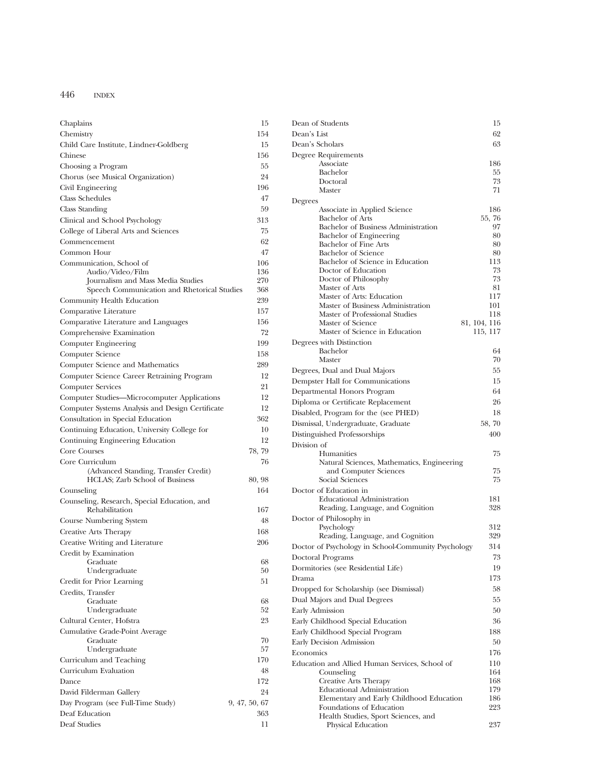| Chaplains                                               | 15            |
|---------------------------------------------------------|---------------|
| Chemistry                                               | 154           |
| Child Care Institute, Lindner-Goldberg                  | 15            |
| Chinese                                                 | 156           |
| Choosing a Program                                      | 55            |
| Chorus (see Musical Organization)                       | 24            |
| Civil Engineering                                       | 196           |
| <b>Class Schedules</b>                                  | 47            |
| Class Standing                                          | 59            |
| Clinical and School Psychology                          | 313           |
| College of Liberal Arts and Sciences                    | 75            |
| Commencement                                            | 62            |
| Common Hour                                             | 47            |
| Communication, School of<br>Audio/Video/Film            | 106<br>136    |
| Journalism and Mass Media Studies                       | 270           |
| Speech Communication and Rhetorical Studies             | 368           |
| Community Health Education                              | 239           |
| Comparative Literature                                  | 157           |
| Comparative Literature and Languages                    | 156           |
| Comprehensive Examination                               | 72            |
| Computer Engineering                                    | 199           |
| Computer Science                                        | 158           |
| Computer Science and Mathematics                        | 289           |
| Computer Science Career Retraining Program              | 12            |
| <b>Computer Services</b>                                | 21            |
| Computer Studies-Microcomputer Applications             | 12            |
| Computer Systems Analysis and Design Certificate        | 12            |
| Consultation in Special Education                       | 362           |
| Continuing Education, University College for            | 10            |
| Continuing Engineering Education                        | 12            |
| <b>Core Courses</b>                                     |               |
|                                                         | 78, 79        |
| Core Curriculum<br>(Advanced Standing, Transfer Credit) | 76            |
| HCLAS; Zarb School of Business                          | 80, 98        |
| Counseling                                              | 164           |
| Counseling, Research, Special Education, and            |               |
| Rehabilitation                                          | 167           |
| Course Numbering System                                 | 48            |
| Creative Arts Therapy                                   | 168           |
| Creative Writing and Literature                         | 206           |
| Credit by Examination                                   |               |
| Graduate                                                | 68            |
| Undergraduate                                           | 50            |
| Credit for Prior Learning                               | 51            |
| Credits, Transfer                                       |               |
| Graduate<br>Undergraduate                               | 68<br>52      |
| Cultural Center, Hofstra                                | 23            |
| Cumulative Grade-Point Average                          |               |
| Graduate                                                | 70            |
| Undergraduate                                           | 57            |
| Curriculum and Teaching                                 | 170           |
| Curriculum Evaluation                                   | 48            |
| Dance                                                   | 172           |
| David Filderman Gallery                                 | 24            |
| Day Program (see Full-Time Study)                       | 9, 47, 50, 67 |
| Deaf Education                                          | 363           |
| Deaf Studies                                            | 11            |
|                                                         |               |

| 15     | Dean of Students                                                     | 15           |
|--------|----------------------------------------------------------------------|--------------|
| 154    | Dean's List                                                          | 62           |
| 15     | Dean's Scholars                                                      | 63           |
| 156    | Degree Requirements                                                  |              |
| 55     | Associate<br>Bachelor                                                | 186<br>55    |
| 24     | Doctoral                                                             | 73           |
| 196    | Master                                                               | 71           |
| 47     | Degrees                                                              |              |
| 59     | Associate in Applied Science                                         | 186          |
| 313    | <b>Bachelor</b> of Arts                                              | 55,76        |
| 75     | Bachelor of Business Administration                                  | 97           |
| 62     | Bachelor of Engineering<br>Bachelor of Fine Arts                     | 80<br>80     |
| 47     | <b>Bachelor</b> of Science                                           | 80           |
| 106    | Bachelor of Science in Education                                     | 113          |
| 136    | Doctor of Education                                                  | 73           |
| 270    | Doctor of Philosophy                                                 | 73           |
| 368    | Master of Arts<br>Master of Arts: Education                          | 81<br>117    |
| 239    | Master of Business Administration                                    | 101          |
| 157    | Master of Professional Studies                                       | 118          |
| 156    | Master of Science                                                    | 81, 104, 116 |
| 72     | Master of Science in Education                                       | 115, 117     |
| 199    | Degrees with Distinction                                             |              |
| 158    | Bachelor                                                             | 64           |
| 289    | Master                                                               | 70           |
| 12     | Degrees, Dual and Dual Majors                                        | 55           |
| 21     | Dempster Hall for Communications                                     | 15           |
| 12     | Departmental Honors Program                                          | 64           |
| 12     | Diploma or Certificate Replacement                                   | 26           |
| 362    | Disabled, Program for the (see PHED)                                 | 18           |
| 10     | Dismissal, Undergraduate, Graduate                                   | 58, 70       |
| 12     | Distinguished Professorships                                         | 400          |
| 78, 79 | Division of                                                          |              |
| 76     | Humanities                                                           | 75           |
|        | Natural Sciences, Mathematics, Engineering<br>and Computer Sciences  | 75           |
| 30, 98 | Social Sciences                                                      | 75           |
| 164    | Doctor of Education in                                               |              |
|        | <b>Educational Administration</b>                                    | 181          |
| 167    | Reading, Language, and Cognition                                     | 328          |
| 48     | Doctor of Philosophy in                                              |              |
| 168    | Psychology                                                           | 312          |
| 206    | Reading, Language, and Cognition                                     | 329          |
|        | Doctor of Psychology in School-Community Psychology                  | 314          |
| 68     | Doctoral Programs                                                    | 73           |
| 50     | Dormitories (see Residential Life)                                   | 19           |
| 51     | Drama                                                                | 173          |
|        | Dropped for Scholarship (see Dismissal)                              | 58           |
| 68     | Dual Majors and Dual Degrees                                         | 55           |
| 52     | Early Admission                                                      | 50           |
| 23     | Early Childhood Special Education                                    | 36           |
|        | Early Childhood Special Program                                      | 188          |
| 70     | Early Decision Admission                                             | 50           |
| 57     | Economics                                                            | 176          |
| 170    | Education and Allied Human Services, School of                       | 110          |
| 48     | Counseling                                                           | 164          |
| 172    | Creative Arts Therapy                                                | 168          |
| 24     | <b>Educational Administration</b>                                    | 179          |
| 50, 67 | Elementary and Early Childhood Education<br>Foundations of Education | 186<br>223   |
| 363    | Health Studies, Sport Sciences, and                                  |              |
| 11     | Physical Education                                                   | 237          |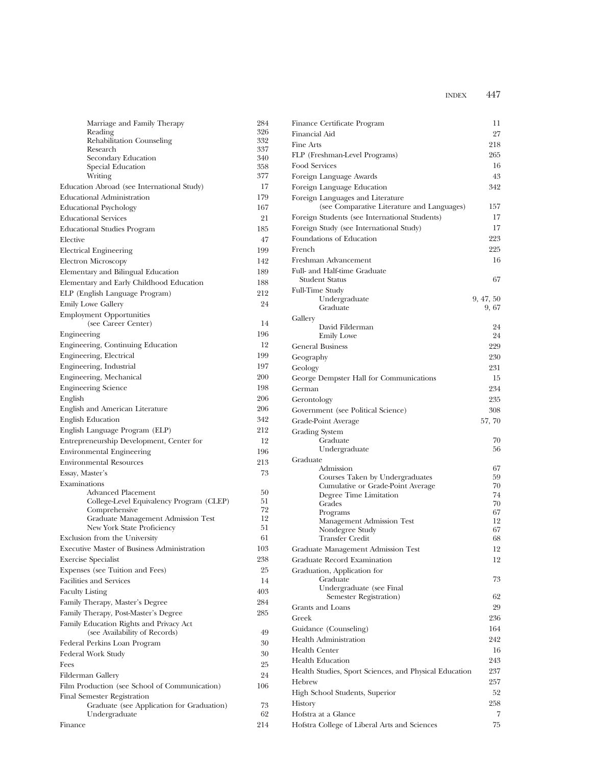| Marriage and Family Therapy                                              | 284        | Finance Certificate Program                            | 11       |
|--------------------------------------------------------------------------|------------|--------------------------------------------------------|----------|
| Reading                                                                  | 326        | Financial Aid                                          | 27       |
| Rehabilitation Counseling                                                | 332        | Fine Arts                                              | 218      |
| Research<br>Secondary Education                                          | 337<br>340 | FLP (Freshman-Level Programs)                          | 265      |
| Special Education                                                        | 358        | Food Services                                          | 16       |
| Writing                                                                  | 377        | Foreign Language Awards                                | 43       |
| Education Abroad (see International Study)                               | 17         | Foreign Language Education                             | 342      |
| <b>Educational Administration</b>                                        | 179        | Foreign Languages and Literature                       |          |
| <b>Educational Psychology</b>                                            | 167        | (see Comparative Literature and Languages)             | 157      |
| <b>Educational Services</b>                                              | 21         | Foreign Students (see International Students)          | 17       |
| <b>Educational Studies Program</b>                                       | 185        | Foreign Study (see International Study)                | 17       |
| Elective                                                                 | 47         | Foundations of Education                               | 223      |
| <b>Electrical Engineering</b>                                            | 199        | French                                                 | 225      |
| <b>Electron Microscopy</b>                                               | 142        | Freshman Advancement                                   | 16       |
| Elementary and Bilingual Education                                       | 189        | Full- and Half-time Graduate                           |          |
| Elementary and Early Childhood Education                                 | 188        | <b>Student Status</b>                                  | 67       |
| ELP (English Language Program)                                           | 212        | <b>Full-Time Study</b>                                 |          |
| Emily Lowe Gallery                                                       | 24         | Undergraduate                                          | 9,47,50  |
|                                                                          |            | Graduate                                               | 9,67     |
| <b>Employment Opportunities</b><br>(see Career Center)                   | 14         | Gallery                                                |          |
| Engineering                                                              | 196        | David Filderman                                        | 24       |
| Engineering, Continuing Education                                        | 12         | <b>Emily Lowe</b>                                      | 24       |
| Engineering, Electrical                                                  | 199        | <b>General Business</b>                                | 229      |
|                                                                          |            | Geography                                              | 230      |
| Engineering, Industrial                                                  | 197        | Geology                                                | 231      |
| Engineering, Mechanical                                                  | 200        | George Dempster Hall for Communications                | 15       |
| <b>Engineering Science</b>                                               | 198        | German                                                 | 234      |
| English                                                                  | 206        | Gerontology                                            | 235      |
| English and American Literature                                          | 206        | Government (see Political Science)                     | 308      |
| <b>English Education</b>                                                 | 342        | Grade-Point Average                                    | 57, 70   |
| English Language Program (ELP)                                           | 212        | <b>Grading System</b>                                  |          |
| Entrepreneurship Development, Center for                                 | 12         | Graduate                                               | 70       |
| <b>Environmental Engineering</b>                                         | 196        | Undergraduate                                          | 56       |
| <b>Environmental Resources</b>                                           | 213        | Graduate<br>Admission                                  | 67       |
| Essay, Master's                                                          | 73         | Courses Taken by Undergraduates                        | 59       |
| Examinations                                                             |            | Cumulative or Grade-Point Average                      | 70       |
| <b>Advanced Placement</b>                                                | 50         | Degree Time Limitation                                 | 74       |
| College-Level Equivalency Program (CLEP)                                 | 51<br>72   | Grades                                                 | 70       |
| Comprehensive<br>Graduate Management Admission Test                      | 12         | Programs                                               | 67       |
| New York State Proficiency                                               | 51         | Management Admission Test<br>Nondegree Study           | 12<br>67 |
| Exclusion from the University                                            | 61         | <b>Transfer Credit</b>                                 | 68       |
| Executive Master of Business Administration                              | 103        | Graduate Management Admission Test                     | 12       |
| <b>Exercise Specialist</b>                                               | 238        | Graduate Record Examination                            | 12       |
| Expenses (see Tuition and Fees)                                          | 25         | Graduation, Application for                            |          |
| <b>Facilities and Services</b>                                           | 14         | Graduate                                               | 73       |
| <b>Faculty Listing</b>                                                   | 403        | Undergraduate (see Final                               |          |
|                                                                          |            | Semester Registration)                                 | 62       |
| Family Therapy, Master's Degree                                          | 284        | Grants and Loans                                       | 29       |
| Family Therapy, Post-Master's Degree                                     | 285        | Greek                                                  | 236      |
| Family Education Rights and Privacy Act<br>(see Availability of Records) | 49         | Guidance (Counseling)                                  | 164      |
| Federal Perkins Loan Program                                             | 30         | Health Administration                                  | 242      |
|                                                                          | 30         | <b>Health Center</b>                                   | 16       |
| Federal Work Study                                                       | 25         | <b>Health Education</b>                                | 243      |
| Fees                                                                     |            | Health Studies, Sport Sciences, and Physical Education | 237      |
| <b>Filderman Gallery</b>                                                 | 24         | Hebrew                                                 | 257      |
| Film Production (see School of Communication)                            | 106        | High School Students, Superior                         | 52       |
| Final Semester Registration                                              |            | History                                                | 258      |
| Graduate (see Application for Graduation)<br>Undergraduate               | 73<br>62   | Hofstra at a Glance                                    | 7        |
| Finance                                                                  | 214        | Hofstra College of Liberal Arts and Sciences           | 75       |
|                                                                          |            |                                                        |          |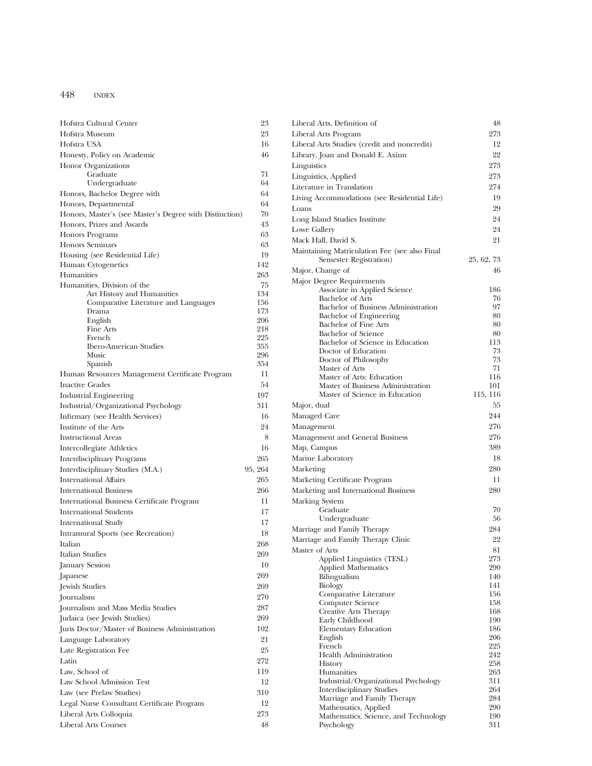| Hofstra Cultural Center                                            | 23         |
|--------------------------------------------------------------------|------------|
| Hofstra Museum                                                     | 23         |
| Hofstra USA                                                        | 16         |
| Honesty, Policy on Academic                                        | 46         |
| <b>Honor Organizations</b>                                         |            |
| Graduate                                                           | 71         |
| Undergraduate                                                      | 64         |
| Honors, Bachelor Degree with                                       | 64         |
| Honors, Departmental                                               | 64         |
| Honors, Master's (see Master's Degree with Distinction)            | 70         |
| Honors, Prizes and Awards                                          | 43         |
| <b>Honors Programs</b>                                             | 63         |
| <b>Honors Seminars</b>                                             | 63         |
| Housing (see Residential Life)                                     | 19         |
| Human Cytogenetics                                                 | 142        |
| Humanities                                                         | 263        |
| Humanities, Division of the                                        | 75<br>134  |
| Art History and Humanities<br>Comparative Literature and Languages | 156        |
| Drama                                                              | 173        |
| English                                                            | 206        |
| Fine Arts                                                          | 218        |
| French<br><b>Ibero-American Studies</b>                            | 225<br>355 |
| Music                                                              | 296        |
| Spanish                                                            | 354        |
| Human Resources Management Certificate Program                     | 11         |
| <b>Inactive Grades</b>                                             | 54         |
| <b>Industrial Engineering</b>                                      | 197        |
| Industrial/Organizational Psychology                               | 311        |
| Infirmary (see Health Services)                                    | 16         |
| Institute of the Arts                                              | 24         |
| <b>Instructional Areas</b>                                         | 8          |
| Intercollegiate Athletics                                          | 16         |
| Interdisciplinary Programs                                         | 265        |
| Interdisciplinary Studies (M.A.)                                   | 95, 264    |
| <b>International Affairs</b>                                       | 265        |
| <b>International Business</b>                                      | 266        |
| International Business Certificate Program                         | 11         |
| <b>International Students</b>                                      | 17         |
| <b>International Study</b>                                         | 17         |
| Intramural Sports (see Recreation)                                 | 18         |
| Italian                                                            | 268        |
| Italian Studies                                                    | 269        |
| January Session                                                    | 10         |
| Japanese                                                           | 269        |
| Jewish Studies                                                     | 269        |
| Journalism                                                         | 270        |
| Journalism and Mass Media Studies                                  | 287        |
| Judaica (see Jewish Studies)                                       | 269        |
| Juris Doctor/Master of Business Administration                     | 102        |
| Language Laboratory                                                | 21         |
| Late Registration Fee                                              | 25         |
| Latin                                                              | 272        |
| Law. School of                                                     | 119        |
| Law School Admission Test                                          | 12         |
|                                                                    | 310        |
| Law (see Prelaw Studies)                                           |            |
| Legal Nurse Consultant Certificate Program                         | 12         |
| Liberal Arts Colloquia                                             | 273        |
| Liberal Arts Courses                                               | 48         |

| 23         | Liberal Arts, Definition of                                  | 48         |
|------------|--------------------------------------------------------------|------------|
| 23         | Liberal Arts Program                                         | 273        |
| 16         | Liberal Arts Studies (credit and noncredit)                  | 12         |
| 46         | Library, Joan and Donald E. Axinn                            | 22         |
|            | Linguistics                                                  | 273        |
| 71         | Linguistics, Applied                                         | 273        |
| 64         | Literature in Translation                                    | 274        |
| 64         | Living Accommodations (see Residential Life)                 | 19         |
| 64         | Loans                                                        | 29         |
| 70         | Long Island Studies Institute                                | 24         |
| 43         | Lowe Gallery                                                 | 24         |
| 63         | Mack Hall, David S.                                          | 21         |
| 63         | Maintaining Matriculation Fee (see also Final                |            |
| 19         | Semester Registration)                                       | 25, 62, 73 |
| 142        | Major, Change of                                             | 46         |
| 263        | Major Degree Requirements                                    |            |
| 75         | Associate in Applied Science                                 | 186        |
| 134        | <b>Bachelor of Arts</b>                                      | 76         |
| 156<br>173 | Bachelor of Business Administration                          | 97         |
| 206        | Bachelor of Engineering                                      | 80         |
| 218        | <b>Bachelor of Fine Arts</b>                                 | 80         |
| 225        | <b>Bachelor</b> of Science                                   | 80         |
| 355        | Bachelor of Science in Education                             | 113        |
| 296        | Doctor of Education<br>Doctor of Philosophy                  | 73<br>73   |
| 354        | Master of Arts                                               | 71         |
| 11         | Master of Arts: Education                                    | 116        |
| 54         | Master of Business Administration                            | 101        |
| 197        | Master of Science in Education                               | 115, 116   |
| 311        | Major, dual                                                  | 55         |
| 16         | Managed Care                                                 | 244        |
| 24         | Management                                                   | 276        |
| 8          | Management and General Business                              | 276        |
| 16         | Map, Campus                                                  | 389        |
| 265        | Marine Laboratory                                            | 18         |
| 264        | Marketing                                                    | 280        |
| 265        | Marketing Certificate Program                                | 11         |
|            |                                                              | 280        |
| 266        | Marketing and International Business                         |            |
| 11         | Marking System<br>Graduate                                   | 70         |
| 17         | Undergraduate                                                | 56         |
| 17         | Marriage and Family Therapy                                  | 284        |
| 18         | Marriage and Family Therapy Clinic                           | 22         |
| 268        |                                                              |            |
| 269        | Master of Arts<br>Applied Linguistics (TESL)                 | 81<br>273  |
| 10         | <b>Applied Mathematics</b>                                   | 290        |
| 269        | Bilingualism                                                 | 140        |
| 269        | <b>Biology</b>                                               | 141        |
| 270        | Comparative Literature                                       | 156        |
| 287        | Computer Science                                             | 158        |
| 269        | Creative Arts Therapy                                        | 168        |
| 102        | Early Childhood                                              | 190<br>186 |
|            | Elementary Education<br>English                              | 206        |
| 21         | French                                                       | 225        |
| 25         | <b>Health Administration</b>                                 | 242        |
| 272        | <b>History</b>                                               | 258        |
| 119        | Humanities                                                   | 263        |
| 12         | Industrial/Organizational Psychology                         | 311        |
| 310        | <b>Interdisciplinary Studies</b>                             | 264        |
| 12         | Marriage and Family Therapy                                  | 284<br>290 |
| 273        | Mathematics, Applied<br>Mathematics, Science, and Technology | 190        |
| 48         | Psychology                                                   | 311        |
|            |                                                              |            |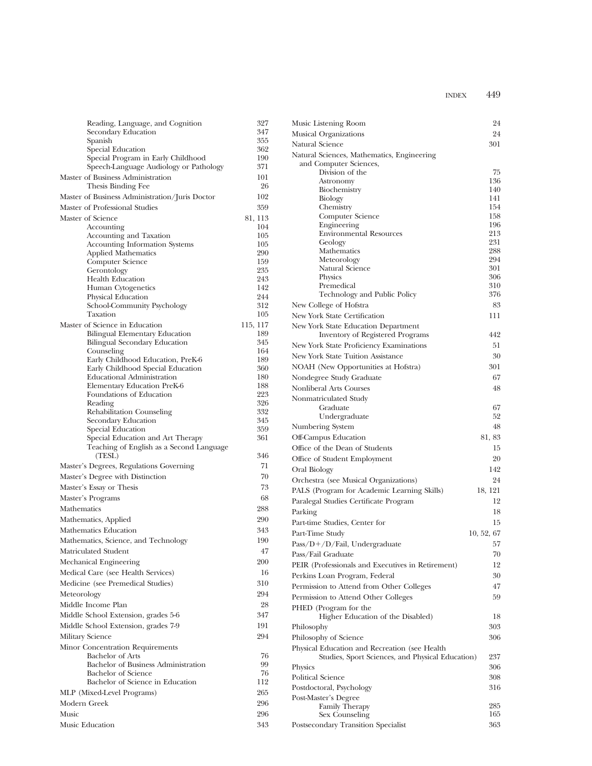|             | Reading, Language, and Cognition                        | 327        | Music Listening Room                              | 24         |
|-------------|---------------------------------------------------------|------------|---------------------------------------------------|------------|
|             | Secondary Education                                     | 347        | Musical Organizations                             | 24         |
|             | Spanish                                                 | 355        | Natural Science                                   | 301        |
|             | Special Education<br>Special Program in Early Childhood | 362<br>190 | Natural Sciences, Mathematics, Engineering        |            |
|             | Speech-Language Audiology or Pathology                  | 371        | and Computer Sciences,                            |            |
|             | Master of Business Administration                       | 101        | Division of the                                   | 75         |
|             | Thesis Binding Fee                                      | 26         | Astronomy                                         | 136<br>140 |
|             | Master of Business Administration/Juris Doctor          | 102        | Biochemistry<br>Biology                           | 141        |
|             | Master of Professional Studies                          | 359        | Chemistry                                         | 154        |
|             | Master of Science                                       | 81, 113    | Computer Science                                  | 158        |
|             | Accounting                                              | 104        | Engineering                                       | 196        |
|             | Accounting and Taxation                                 | 105        | <b>Environmental Resources</b>                    | 213        |
|             | Accounting Information Systems                          | 105        | Geology                                           | 231        |
|             | <b>Applied Mathematics</b>                              | 290        | Mathematics<br>Meteorology                        | 288<br>294 |
|             | Computer Science                                        | 159<br>235 | Natural Science                                   | 301        |
|             | Gerontology<br><b>Health Education</b>                  | 243        | Physics                                           | 306        |
|             | Human Cytogenetics                                      | 142        | Premedical                                        | 310        |
|             | Physical Education                                      | 244        | Technology and Public Policy                      | 376        |
|             | School-Community Psychology                             | 312        | New College of Hofstra                            | 83         |
|             | Taxation                                                | 105        | New York State Certification                      | 111        |
|             | Master of Science in Education                          | 115, 117   | New York State Education Department               |            |
|             | Bilingual Elementary Education                          | 189        | Inventory of Registered Programs                  | 442        |
|             | Bilingual Secondary Education                           | 345        | New York State Proficiency Examinations           | 51         |
|             | Counseling<br>Early Childhood Education, PreK-6         | 164<br>189 | New York State Tuition Assistance                 | 30         |
|             | Early Childhood Special Education                       | 360        | NOAH (New Opportunities at Hofstra)               | 301        |
|             | <b>Educational Administration</b>                       | 180        | Nondegree Study Graduate                          | 67         |
|             | Elementary Education PreK-6                             | 188        | Nonliberal Arts Courses                           | 48         |
|             | Foundations of Education                                | 223        | Nonmatriculated Study                             |            |
|             | Reading                                                 | 326        | Graduate                                          | 67         |
|             | Rehabilitation Counseling                               | 332        | Undergraduate                                     | 52         |
|             | Secondary Education<br>Special Education                | 345<br>359 | Numbering System                                  | 48         |
|             | Special Education and Art Therapy                       | 361        | Off-Campus Education                              | 81, 83     |
|             | Teaching of English as a Second Language                |            | Office of the Dean of Students                    | 15         |
|             | (TESL)                                                  | 346        | Office of Student Employment                      | 20         |
|             | Master's Degrees, Regulations Governing                 | 71         | Oral Biology                                      | 142        |
|             | Master's Degree with Distinction                        | $70\,$     | Orchestra (see Musical Organizations)             | 24         |
|             | Master's Essay or Thesis                                | 73         |                                                   | 18, 121    |
|             | Master's Programs                                       | 68         | PALS (Program for Academic Learning Skills)       | 12         |
| Mathematics |                                                         | 288        | Paralegal Studies Certificate Program             |            |
|             | Mathematics, Applied                                    | 290        | Parking                                           | 18         |
|             | Mathematics Education                                   | 343        | Part-time Studies, Center for                     | 15         |
|             | Mathematics, Science, and Technology                    | 190        | Part-Time Study                                   | 10, 52, 67 |
|             | Matriculated Student                                    | 47         | $Pass/D+/D/Fail$ , Undergraduate                  | 57         |
|             |                                                         |            | Pass/Fail Graduate                                | 70         |
|             | Mechanical Engineering                                  | 200        | PEIR (Professionals and Executives in Retirement) | 12         |
|             | Medical Care (see Health Services)                      | 16         | Perkins Loan Program, Federal                     | 30         |
|             | Medicine (see Premedical Studies)                       | 310        | Permission to Attend from Other Colleges          | 47         |
| Meteorology |                                                         | 294        | Permission to Attend Other Colleges               | 59         |
|             | Middle Income Plan                                      | 28         | PHED (Program for the                             |            |
|             | Middle School Extension, grades 5-6                     | 347        | Higher Education of the Disabled)                 | 18         |
|             | Middle School Extension, grades 7-9                     | 191        | Philosophy                                        | 303        |
|             | Military Science                                        | 294        | Philosophy of Science                             | 306        |
|             | Minor Concentration Requirements                        |            | Physical Education and Recreation (see Health)    |            |
|             | Bachelor of Arts                                        | 76         | Studies, Sport Sciences, and Physical Education)  | 237        |
|             | Bachelor of Business Administration                     | 99         | Physics                                           | 306        |
|             | <b>Bachelor</b> of Science                              | 76         | Political Science                                 | 308        |
|             | Bachelor of Science in Education                        | 112        | Postdoctoral, Psychology                          | 316        |
|             | MLP (Mixed-Level Programs)                              | 265        | Post-Master's Degree                              |            |
|             | Modern Greek                                            | 296        | <b>Family Therapy</b>                             | 285        |
| Music       |                                                         | 296        | Sex Counseling                                    | 165        |
|             | Music Education                                         | 343        | Postsecondary Transition Specialist               | 363        |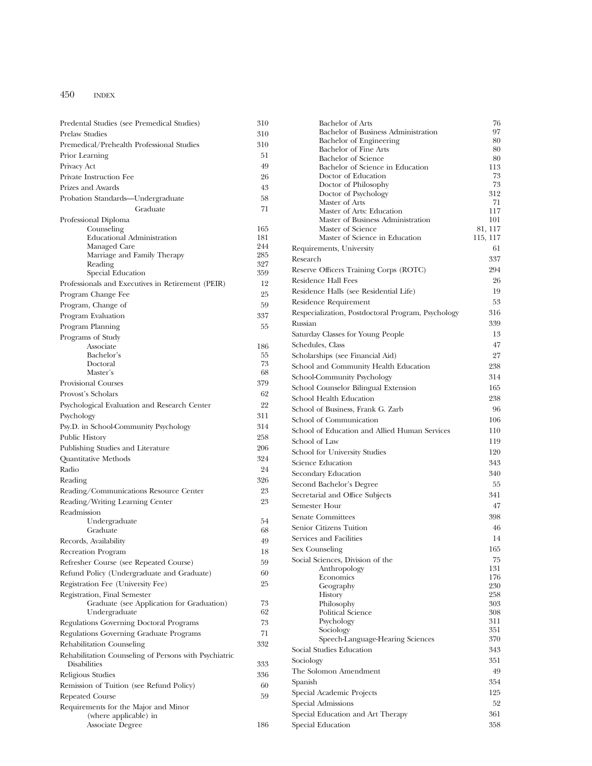| Predental Studies (see Premedical Studies)            | 310        | <b>Bachelor of Arts</b>                                        | 76                  |
|-------------------------------------------------------|------------|----------------------------------------------------------------|---------------------|
| <b>Prelaw Studies</b>                                 | 310        | Bachelor of Business Administration                            | 97                  |
| Premedical/Prehealth Professional Studies             | 310        | Bachelor of Engineering                                        | 80                  |
| Prior Learning                                        | 51         | Bachelor of Fine Arts                                          | 80                  |
| Privacy Act                                           | 49         | <b>Bachelor</b> of Science<br>Bachelor of Science in Education | 80<br>113           |
| Private Instruction Fee                               | 26         | Doctor of Education                                            | 73                  |
| Prizes and Awards                                     | 43         | Doctor of Philosophy                                           | 73                  |
|                                                       | 58         | Doctor of Psychology                                           | 312                 |
| Probation Standards-Undergraduate                     |            | Master of Arts                                                 | 71                  |
| Graduate                                              | 71         | Master of Arts: Education                                      | 117                 |
| Professional Diploma                                  |            | Master of Business Administration                              | 101                 |
| Counseling<br><b>Educational Administration</b>       | 165<br>181 | Master of Science<br>Master of Science in Education            | 81, 117<br>115, 117 |
| Managed Care                                          | 244        | Requirements, University                                       | 61                  |
| Marriage and Family Therapy                           | 285        |                                                                | 337                 |
| Reading                                               | 327        | Research                                                       |                     |
| Special Education                                     | 359        | Reserve Officers Training Corps (ROTC)                         | 294                 |
| Professionals and Executives in Retirement (PEIR)     | 12         | Residence Hall Fees                                            | 26                  |
| Program Change Fee                                    | 25         | Residence Halls (see Residential Life)                         | 19                  |
| Program, Change of                                    | 59         | Residence Requirement                                          | 53                  |
| Program Evaluation                                    | 337        | Respecialization, Postdoctoral Program, Psychology             | 316                 |
| Program Planning                                      | 55         | Russian                                                        | 339                 |
| Programs of Study                                     |            | Saturday Classes for Young People                              | 13                  |
| Associate                                             | 186        | Schedules, Class                                               | 47                  |
| Bachelor's                                            | 55         | Scholarships (see Financial Aid)                               | 27                  |
| Doctoral                                              | 73         | School and Community Health Education                          | 238                 |
| Master's                                              | 68         | School-Community Psychology                                    | 314                 |
| Provisional Courses                                   | 379        | School Counselor Bilingual Extension                           | 165                 |
| Provost's Scholars                                    | 62         | School Health Education                                        | 238                 |
| Psychological Evaluation and Research Center          | 22         | School of Business, Frank G. Zarb                              | 96                  |
| Psychology                                            | 311        | School of Communication                                        | 106                 |
| Psy.D. in School-Community Psychology                 | 314        | School of Education and Allied Human Services                  | 110                 |
| Public History                                        | 258        | School of Law                                                  | 119                 |
| Publishing Studies and Literature                     | 206        | School for University Studies                                  | 120                 |
| Quantitative Methods                                  | 324        | Science Education                                              | 343                 |
| Radio                                                 | 24         | Secondary Education                                            | 340                 |
| Reading                                               | 326        | Second Bachelor's Degree                                       | 55                  |
| Reading/Communications Resource Center                | 23         | Secretarial and Office Subjects                                | 341                 |
| Reading/Writing Learning Center                       | 23         | Semester Hour                                                  | 47                  |
| Readmission                                           |            | Senate Committees                                              | 398                 |
| Undergraduate                                         | 54         | Senior Citizens Tuition                                        | 46                  |
| Graduate                                              | 68         |                                                                |                     |
| Records, Availability                                 | 49         | Services and Facilities                                        | 14                  |
| Recreation Program                                    | 18         | Sex Counseling                                                 | 165                 |
| Refresher Course (see Repeated Course)                | 59         | Social Sciences, Division of the<br>Anthropology               | 75<br>131           |
| Refund Policy (Undergraduate and Graduate)            | 60         | Economics                                                      | 176                 |
| Registration Fee (University Fee)                     | 25         | Geography                                                      | 230                 |
| Registration, Final Semester                          |            | History                                                        | 258                 |
| Graduate (see Application for Graduation)             | 73         | Philosophy                                                     | 303                 |
| Undergraduate                                         | 62         | Political Science                                              | 308                 |
| Regulations Governing Doctoral Programs               | 73         | Psychology<br>Sociology                                        | 311<br>351          |
| Regulations Governing Graduate Programs               | 71         | Speech-Language-Hearing Sciences                               | 370                 |
| Rehabilitation Counseling                             | 332        | Social Studies Education                                       | 343                 |
| Rehabilitation Counseling of Persons with Psychiatric |            | Sociology                                                      | 351                 |
| Disabilities                                          | 333        | The Solomon Amendment                                          | 49                  |
| Religious Studies                                     | 336        | Spanish                                                        | 354                 |
| Remission of Tuition (see Refund Policy)              | 60         | Special Academic Projects                                      | 125                 |
| Repeated Course                                       | 59         | Special Admissions                                             | 52                  |
| Requirements for the Major and Minor                  |            | Special Education and Art Therapy                              | 361                 |
| (where applicable) in                                 | 186        | Special Education                                              | 358                 |
| Associate Degree                                      |            |                                                                |                     |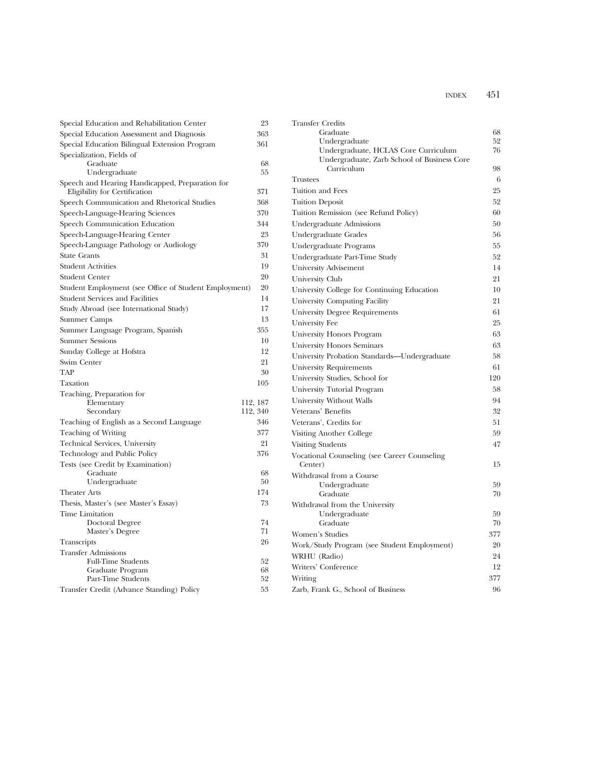| Special Education and Rehabilitation Center                                      | 23       | Trans   |
|----------------------------------------------------------------------------------|----------|---------|
| Special Education Assessment and Diagnosis                                       | 363      |         |
| Special Education Bilingual Extension Program                                    | 361      |         |
| Specialization, Fields of                                                        |          |         |
| Graduate                                                                         | 68       |         |
| Undergraduate                                                                    | 55       | Trust   |
| Speech and Hearing Handicapped, Preparation for<br>Eligibility for Certification | 371      | Tuitio  |
| Speech Communication and Rhetorical Studies                                      | 368      | Tuitio  |
| Speech-Language-Hearing Sciences                                                 | 370      | Tuitio  |
| Speech Communication Education                                                   | 344      | Unde    |
| Speech-Language-Hearing Center                                                   | 23       | Unde    |
| Speech-Language Pathology or Audiology                                           | 370      | Unde    |
| <b>State Grants</b>                                                              | 31       | Unde    |
| <b>Student Activities</b>                                                        | 19       | Unive   |
| <b>Student Center</b>                                                            | 20       | Unive   |
| Student Employment (see Office of Student Employment)                            | 20       | Unive   |
| <b>Student Services and Facilities</b>                                           | 14       | Unive   |
| Study Abroad (see International Study)                                           | 17       | Unive   |
| Summer Camps                                                                     | 13       |         |
| Summer Language Program, Spanish                                                 | 355      | Unive   |
| <b>Summer Sessions</b>                                                           | 10       | Unive   |
| Sunday College at Hofstra                                                        | 12       | Unive   |
| Swim Center                                                                      | 21       | Unive   |
| <b>TAP</b>                                                                       | 30       | Unive   |
| Taxation                                                                         | 105      | Unive   |
| Teaching, Preparation for                                                        |          | Unive   |
| Elementary                                                                       | 112, 187 | Unive   |
| Secondary                                                                        | 112, 340 | Veter   |
| Teaching of English as a Second Language                                         | 346      | Veter   |
| Teaching of Writing                                                              | 377      | Visitii |
| Technical Services, University                                                   | 21       | Visitii |
| Technology and Public Policy                                                     | 376      | Vocat   |
| Tests (see Credit by Examination)                                                |          | Cei     |
| Graduate                                                                         | 68       | Witho   |
| Undergraduate                                                                    | 50       |         |
| <b>Theater Arts</b>                                                              | 174      |         |
| Thesis, Master's (see Master's Essay)                                            | 73       | Witho   |
| Time Limitation                                                                  |          |         |
| Doctoral Degree<br>Master's Degree                                               | 74<br>71 |         |
|                                                                                  | 26       | Wom     |
| <b>Transcripts</b>                                                               |          | Work    |
| <b>Transfer Admissions</b><br><b>Full-Time Students</b>                          | 52       | WRH     |
| Graduate Program                                                                 | 68       | Write   |
| Part-Time Students                                                               | 52       | Writii  |
| Transfer Credit (Advance Standing) Policy                                        | 53       | Zarb,   |
|                                                                                  |          |         |

| <b>Transfer Credits</b><br>Graduate                                                 | 68  |
|-------------------------------------------------------------------------------------|-----|
| Undergraduate                                                                       | 52  |
| Undergraduate, HCLAS Core Curriculum<br>Undergraduate, Zarb School of Business Core | 76  |
| Curriculum                                                                          | 98  |
| <b>Trustees</b>                                                                     | 6   |
| Tuition and Fees                                                                    | 25  |
| <b>Tuition Deposit</b>                                                              | 52  |
| Tuition Remission (see Refund Policy)                                               | 60  |
| Undergraduate Admissions                                                            | 50  |
| Undergraduate Grades                                                                | 56  |
| Undergraduate Programs                                                              | 55  |
| Undergraduate Part-Time Study                                                       | 52  |
| University Advisement                                                               | 14  |
| University Club                                                                     | 21  |
| University College for Continuing Education                                         | 10  |
| University Computing Facility                                                       | 21  |
| <b>University Degree Requirements</b>                                               | 61  |
| University Fee                                                                      | 25  |
| University Honors Program                                                           | 63  |
| <b>University Honors Seminars</b>                                                   | 63  |
| University Probation Standards-Undergraduate                                        | 58  |
| University Requirements                                                             | 61  |
| University Studies, School for                                                      | 120 |
| University Tutorial Program                                                         | 58  |
| University Without Walls                                                            | 94  |
| Veterans' Benefits                                                                  | 32  |
| Veterans', Credits for                                                              | 51  |
| Visiting Another College                                                            | 59  |
| <b>Visiting Students</b>                                                            | 47  |
| Vocational Counseling (see Career Counseling<br>Center)                             | 15  |
| Withdrawal from a Course                                                            |     |
| Undergraduate                                                                       | 59  |
| Graduate                                                                            | 70  |
| Withdrawal from the University<br>Undergraduate                                     | 59  |
| Graduate                                                                            | 70  |
| Women's Studies                                                                     | 377 |
| Work/Study Program (see Student Employment)                                         | 20  |
| WRHU (Radio)                                                                        | 24  |
| Writers' Conference                                                                 | 12  |
| Writing                                                                             | 377 |
| Zarb, Frank G., School of Business                                                  | 96  |
|                                                                                     |     |